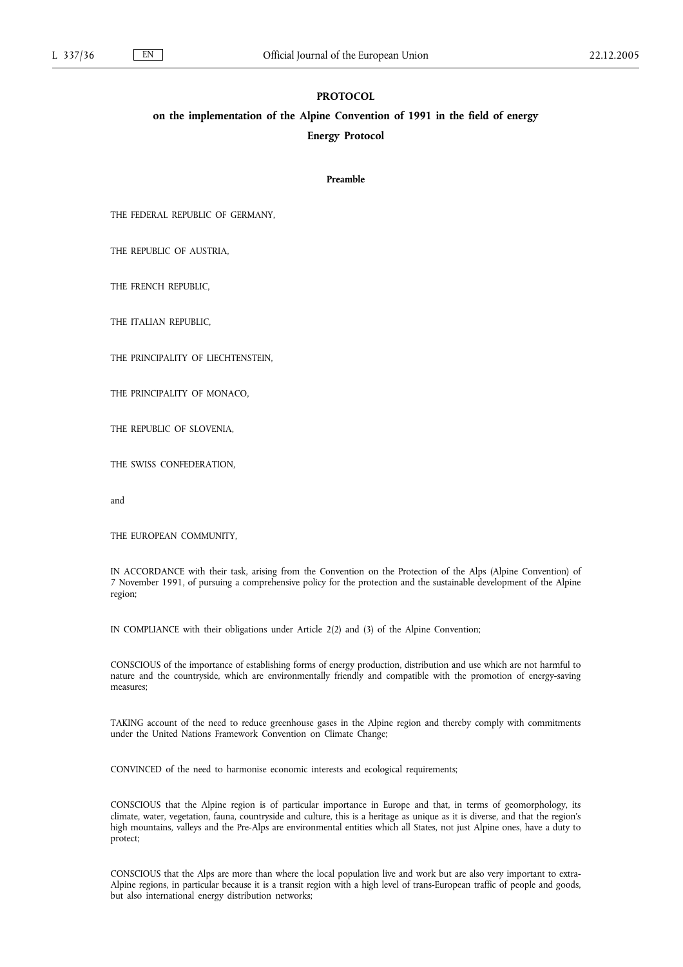#### **PROTOCOL**

# **on the implementation of the Alpine Convention of 1991 in the field of energy Energy Protocol**

#### **Preamble**

THE FEDERAL REPUBLIC OF GERMANY,

THE REPUBLIC OF AUSTRIA,

THE FRENCH REPUBLIC,

THE ITALIAN REPUBLIC,

THE PRINCIPALITY OF LIECHTENSTEIN,

THE PRINCIPALITY OF MONACO,

THE REPUBLIC OF SLOVENIA,

THE SWISS CONFEDERATION,

and

THE EUROPEAN COMMUNITY,

IN ACCORDANCE with their task, arising from the Convention on the Protection of the Alps (Alpine Convention) of 7 November 1991, of pursuing a comprehensive policy for the protection and the sustainable development of the Alpine region;

IN COMPLIANCE with their obligations under Article 2(2) and (3) of the Alpine Convention;

CONSCIOUS of the importance of establishing forms of energy production, distribution and use which are not harmful to nature and the countryside, which are environmentally friendly and compatible with the promotion of energy-saving measures;

TAKING account of the need to reduce greenhouse gases in the Alpine region and thereby comply with commitments under the United Nations Framework Convention on Climate Change;

CONVINCED of the need to harmonise economic interests and ecological requirements;

CONSCIOUS that the Alpine region is of particular importance in Europe and that, in terms of geomorphology, its climate, water, vegetation, fauna, countryside and culture, this is a heritage as unique as it is diverse, and that the region's high mountains, valleys and the Pre-Alps are environmental entities which all States, not just Alpine ones, have a duty to protect;

CONSCIOUS that the Alps are more than where the local population live and work but are also very important to extra-Alpine regions, in particular because it is a transit region with a high level of trans-European traffic of people and goods, but also international energy distribution networks;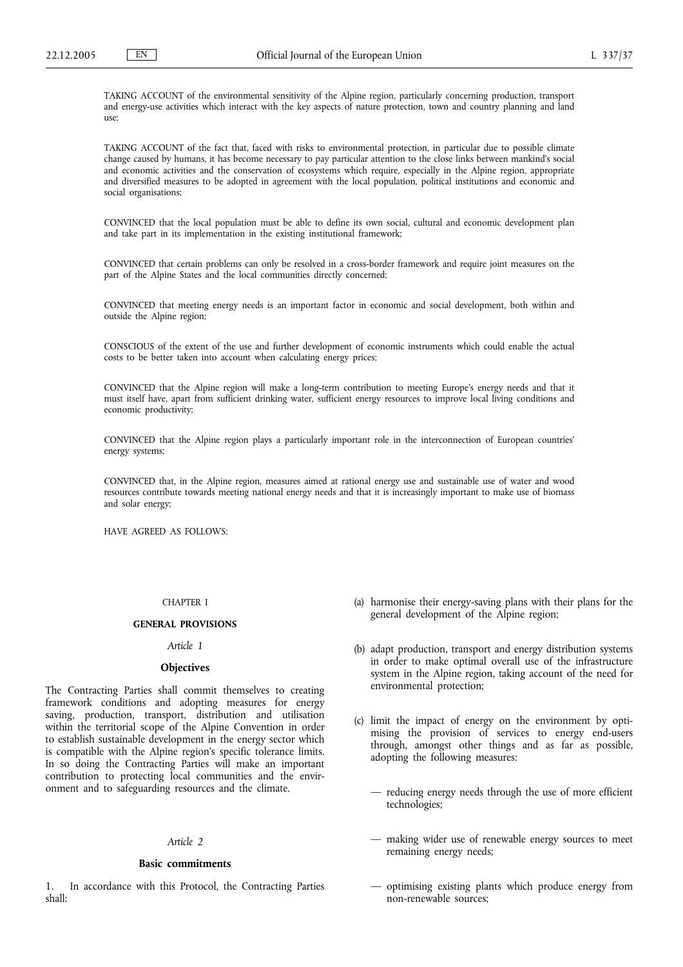TAKING ACCOUNT of the environmental sensitivity of the Alpine region, particularly concerning production, transport and energy-use activities which interact with the key aspects of nature protection, town and country planning and land use;

TAKING ACCOUNT of the fact that, faced with risks to environmental protection, in particular due to possible climate change caused by humans, it has become necessary to pay particular attention to the close links between mankind's social and economic activities and the conservation of ecosystems which require, especially in the Alpine region, appropriate and diversified measures to be adopted in agreement with the local population, political institutions and economic and social organisations;

CONVINCED that the local population must be able to define its own social, cultural and economic development plan and take part in its implementation in the existing institutional framework;

CONVINCED that certain problems can only be resolved in a cross-border framework and require joint measures on the part of the Alpine States and the local communities directly concerned;

CONVINCED that meeting energy needs is an important factor in economic and social development, both within and outside the Alpine region;

CONSCIOUS of the extent of the use and further development of economic instruments which could enable the actual costs to be better taken into account when calculating energy prices;

CONVINCED that the Alpine region will make a long-term contribution to meeting Europe's energy needs and that it must itself have, apart from sufficient drinking water, sufficient energy resources to improve local living conditions and economic productivity;

CONVINCED that the Alpine region plays a particularly important role in the interconnection of European countries' energy systems;

CONVINCED that, in the Alpine region, measures aimed at rational energy use and sustainable use of water and wood resources contribute towards meeting national energy needs and that it is increasingly important to make use of biomass and solar energy;

HAVE AGREED AS FOLLOWS:

### CHAPTER I

#### **GENERAL PROVISIONS**

### *Article 1*

### **Objectives**

The Contracting Parties shall commit themselves to creating framework conditions and adopting measures for energy saving, production, transport, distribution and utilisation within the territorial scope of the Alpine Convention in order to establish sustainable development in the energy sector which is compatible with the Alpine region's specific tolerance limits. In so doing the Contracting Parties will make an important contribution to protecting local communities and the environment and to safeguarding resources and the climate.

#### *Article 2*

### **Basic commitments**

In accordance with this Protocol, the Contracting Parties shall:

- (a) harmonise their energy-saving plans with their plans for the general development of the Alpine region;
- (b) adapt production, transport and energy distribution systems in order to make optimal overall use of the infrastructure system in the Alpine region, taking account of the need for environmental protection;
- (c) limit the impact of energy on the environment by optimising the provision of services to energy end-users through, amongst other things and as far as possible, adopting the following measures:
	- reducing energy needs through the use of more efficient technologies;
	- making wider use of renewable energy sources to meet remaining energy needs;
	- optimising existing plants which produce energy from non-renewable sources;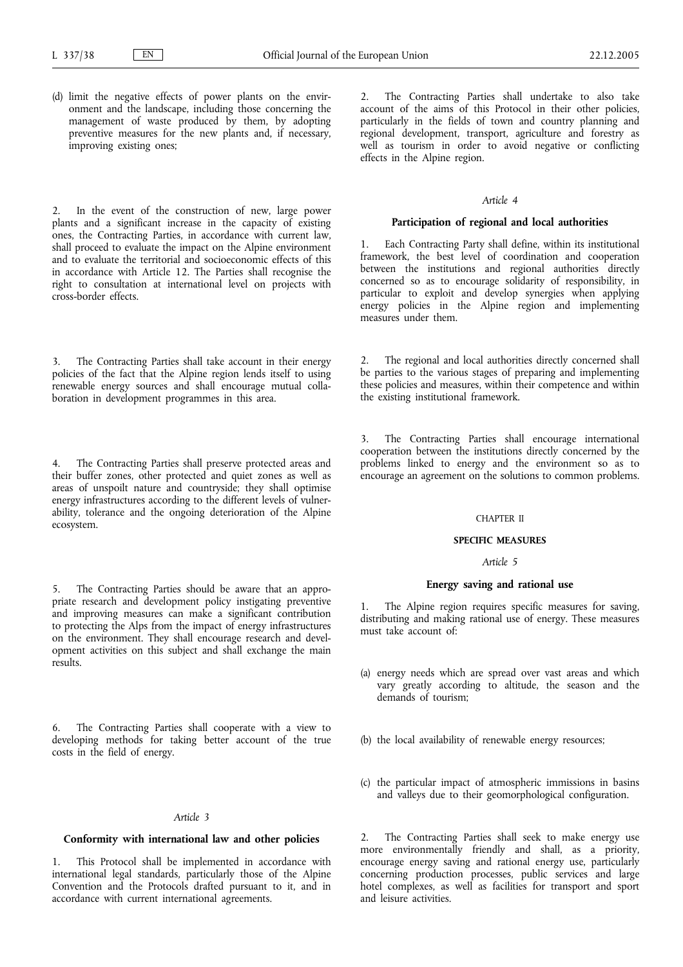(d) limit the negative effects of power plants on the environment and the landscape, including those concerning the management of waste produced by them, by adopting preventive measures for the new plants and, if necessary, improving existing ones;

In the event of the construction of new, large power plants and a significant increase in the capacity of existing ones, the Contracting Parties, in accordance with current law, shall proceed to evaluate the impact on the Alpine environment and to evaluate the territorial and socioeconomic effects of this in accordance with Article 12. The Parties shall recognise the right to consultation at international level on projects with cross-border effects.

3. The Contracting Parties shall take account in their energy policies of the fact that the Alpine region lends itself to using renewable energy sources and shall encourage mutual collaboration in development programmes in this area.

The Contracting Parties shall preserve protected areas and their buffer zones, other protected and quiet zones as well as areas of unspoilt nature and countryside; they shall optimise energy infrastructures according to the different levels of vulnerability, tolerance and the ongoing deterioration of the Alpine ecosystem.

The Contracting Parties should be aware that an appropriate research and development policy instigating preventive and improving measures can make a significant contribution to protecting the Alps from the impact of energy infrastructures on the environment. They shall encourage research and development activities on this subject and shall exchange the main results.

6. The Contracting Parties shall cooperate with a view to developing methods for taking better account of the true costs in the field of energy.

#### *Article 3*

### **Conformity with international law and other policies**

1. This Protocol shall be implemented in accordance with international legal standards, particularly those of the Alpine Convention and the Protocols drafted pursuant to it, and in accordance with current international agreements.

2. The Contracting Parties shall undertake to also take account of the aims of this Protocol in their other policies, particularly in the fields of town and country planning and regional development, transport, agriculture and forestry as well as tourism in order to avoid negative or conflicting effects in the Alpine region.

#### *Article 4*

#### **Participation of regional and local authorities**

1. Each Contracting Party shall define, within its institutional framework, the best level of coordination and cooperation between the institutions and regional authorities directly concerned so as to encourage solidarity of responsibility, in particular to exploit and develop synergies when applying energy policies in the Alpine region and implementing measures under them.

2. The regional and local authorities directly concerned shall be parties to the various stages of preparing and implementing these policies and measures, within their competence and within the existing institutional framework.

3. The Contracting Parties shall encourage international cooperation between the institutions directly concerned by the problems linked to energy and the environment so as to encourage an agreement on the solutions to common problems.

#### CHAPTER II

#### **SPECIFIC MEASURES**

#### *Article 5*

### **Energy saving and rational use**

1. The Alpine region requires specific measures for saving, distributing and making rational use of energy. These measures must take account of:

- (a) energy needs which are spread over vast areas and which vary greatly according to altitude, the season and the demands of tourism;
- (b) the local availability of renewable energy resources;
- (c) the particular impact of atmospheric immissions in basins and valleys due to their geomorphological configuration.

The Contracting Parties shall seek to make energy use more environmentally friendly and shall, as a priority, encourage energy saving and rational energy use, particularly concerning production processes, public services and large hotel complexes, as well as facilities for transport and sport and leisure activities.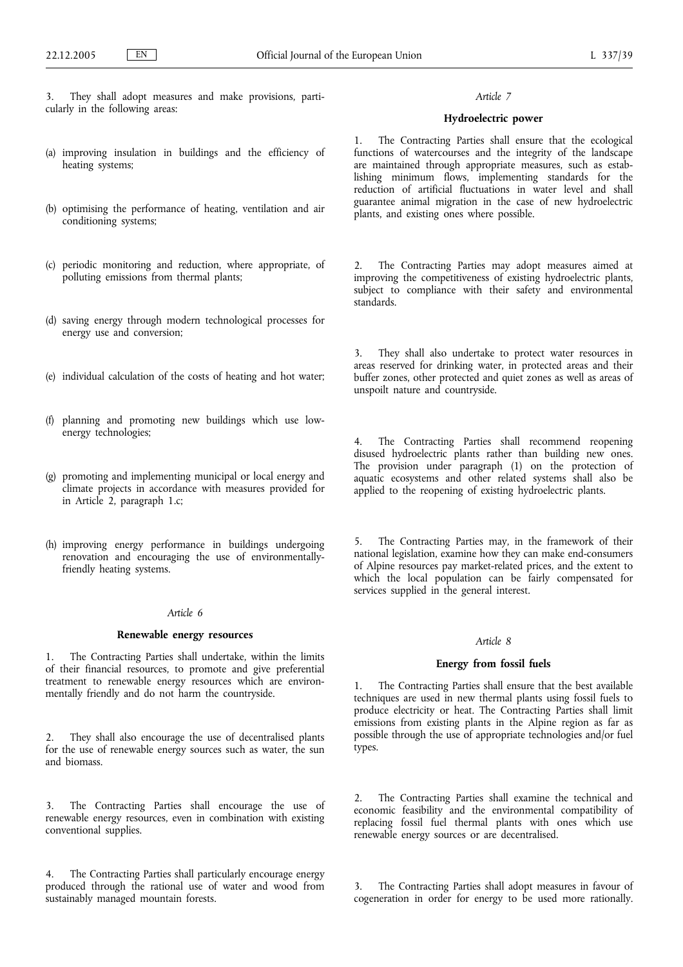- 3. They shall adopt measures and make provisions, particularly in the following areas:
- (a) improving insulation in buildings and the efficiency of heating systems;
- (b) optimising the performance of heating, ventilation and air conditioning systems;
- (c) periodic monitoring and reduction, where appropriate, of polluting emissions from thermal plants;
- (d) saving energy through modern technological processes for energy use and conversion;
- (e) individual calculation of the costs of heating and hot water;
- (f) planning and promoting new buildings which use lowenergy technologies;
- (g) promoting and implementing municipal or local energy and climate projects in accordance with measures provided for in Article 2, paragraph 1.c;
- (h) improving energy performance in buildings undergoing renovation and encouraging the use of environmentallyfriendly heating systems.

### *Article 6*

### **Renewable energy resources**

The Contracting Parties shall undertake, within the limits of their financial resources, to promote and give preferential treatment to renewable energy resources which are environmentally friendly and do not harm the countryside.

2. They shall also encourage the use of decentralised plants for the use of renewable energy sources such as water, the sun and biomass.

3. The Contracting Parties shall encourage the use of renewable energy resources, even in combination with existing conventional supplies.

4. The Contracting Parties shall particularly encourage energy produced through the rational use of water and wood from sustainably managed mountain forests.

### *Article 7*

# **Hydroelectric power**

1. The Contracting Parties shall ensure that the ecological functions of watercourses and the integrity of the landscape are maintained through appropriate measures, such as establishing minimum flows, implementing standards for the reduction of artificial fluctuations in water level and shall guarantee animal migration in the case of new hydroelectric plants, and existing ones where possible.

2. The Contracting Parties may adopt measures aimed at improving the competitiveness of existing hydroelectric plants, subject to compliance with their safety and environmental standards.

3. They shall also undertake to protect water resources in areas reserved for drinking water, in protected areas and their buffer zones, other protected and quiet zones as well as areas of unspoilt nature and countryside.

The Contracting Parties shall recommend reopening disused hydroelectric plants rather than building new ones. The provision under paragraph (1) on the protection of aquatic ecosystems and other related systems shall also be applied to the reopening of existing hydroelectric plants.

5. The Contracting Parties may, in the framework of their national legislation, examine how they can make end-consumers of Alpine resources pay market-related prices, and the extent to which the local population can be fairly compensated for services supplied in the general interest.

#### *Article 8*

# **Energy from fossil fuels**

The Contracting Parties shall ensure that the best available techniques are used in new thermal plants using fossil fuels to produce electricity or heat. The Contracting Parties shall limit emissions from existing plants in the Alpine region as far as possible through the use of appropriate technologies and/or fuel types.

2. The Contracting Parties shall examine the technical and economic feasibility and the environmental compatibility of replacing fossil fuel thermal plants with ones which use renewable energy sources or are decentralised.

The Contracting Parties shall adopt measures in favour of cogeneration in order for energy to be used more rationally.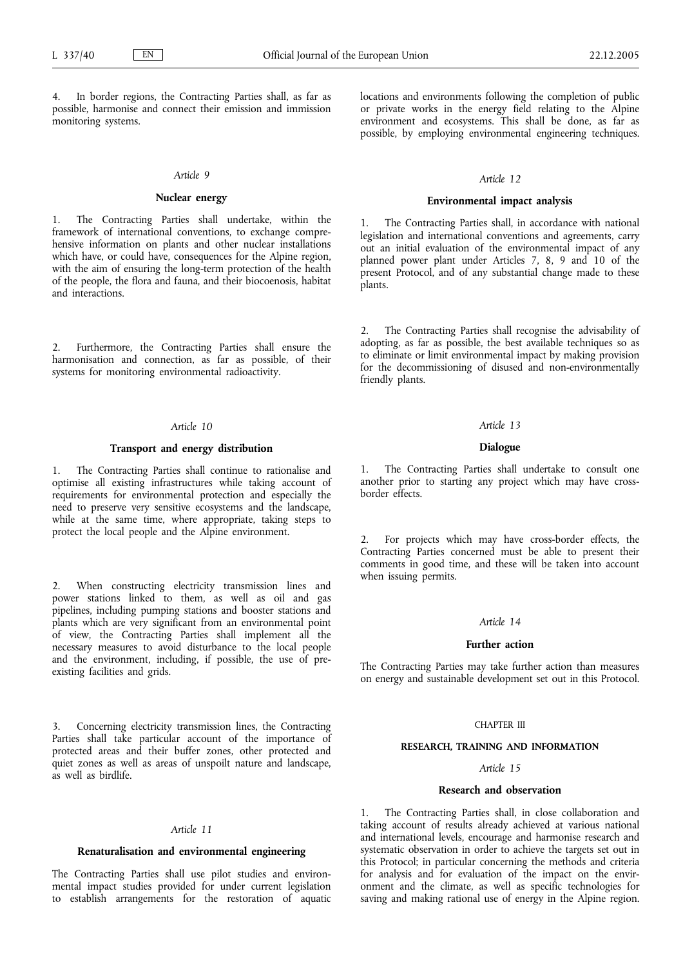In border regions, the Contracting Parties shall, as far as possible, harmonise and connect their emission and immission monitoring systems.

#### *Article 9*

### **Nuclear energy**

1. The Contracting Parties shall undertake, within the framework of international conventions, to exchange comprehensive information on plants and other nuclear installations which have, or could have, consequences for the Alpine region, with the aim of ensuring the long-term protection of the health of the people, the flora and fauna, and their biocoenosis, habitat and interactions.

2. Furthermore, the Contracting Parties shall ensure the harmonisation and connection, as far as possible, of their systems for monitoring environmental radioactivity.

### *Article 10*

# **Transport and energy distribution**

1. The Contracting Parties shall continue to rationalise and optimise all existing infrastructures while taking account of requirements for environmental protection and especially the need to preserve very sensitive ecosystems and the landscape, while at the same time, where appropriate, taking steps to protect the local people and the Alpine environment.

When constructing electricity transmission lines and power stations linked to them, as well as oil and gas pipelines, including pumping stations and booster stations and plants which are very significant from an environmental point of view, the Contracting Parties shall implement all the necessary measures to avoid disturbance to the local people and the environment, including, if possible, the use of preexisting facilities and grids.

3. Concerning electricity transmission lines, the Contracting Parties shall take particular account of the importance of protected areas and their buffer zones, other protected and quiet zones as well as areas of unspoilt nature and landscape, as well as birdlife.

#### *Article 11*

### **Renaturalisation and environmental engineering**

The Contracting Parties shall use pilot studies and environmental impact studies provided for under current legislation to establish arrangements for the restoration of aquatic

locations and environments following the completion of public or private works in the energy field relating to the Alpine environment and ecosystems. This shall be done, as far as possible, by employing environmental engineering techniques.

#### *Article 12*

### **Environmental impact analysis**

The Contracting Parties shall, in accordance with national legislation and international conventions and agreements, carry out an initial evaluation of the environmental impact of any planned power plant under Articles 7, 8, 9 and 10 of the present Protocol, and of any substantial change made to these plants.

2. The Contracting Parties shall recognise the advisability of adopting, as far as possible, the best available techniques so as to eliminate or limit environmental impact by making provision for the decommissioning of disused and non-environmentally friendly plants.

#### *Article 13*

### **Dialogue**

The Contracting Parties shall undertake to consult one another prior to starting any project which may have crossborder effects.

For projects which may have cross-border effects, the Contracting Parties concerned must be able to present their comments in good time, and these will be taken into account when issuing permits.

### *Article 14*

#### **Further action**

The Contracting Parties may take further action than measures on energy and sustainable development set out in this Protocol.

### CHAPTER III

### **RESEARCH, TRAINING AND INFORMATION**

### *Article 15*

# **Research and observation**

1. The Contracting Parties shall, in close collaboration and taking account of results already achieved at various national and international levels, encourage and harmonise research and systematic observation in order to achieve the targets set out in this Protocol; in particular concerning the methods and criteria for analysis and for evaluation of the impact on the environment and the climate, as well as specific technologies for saving and making rational use of energy in the Alpine region.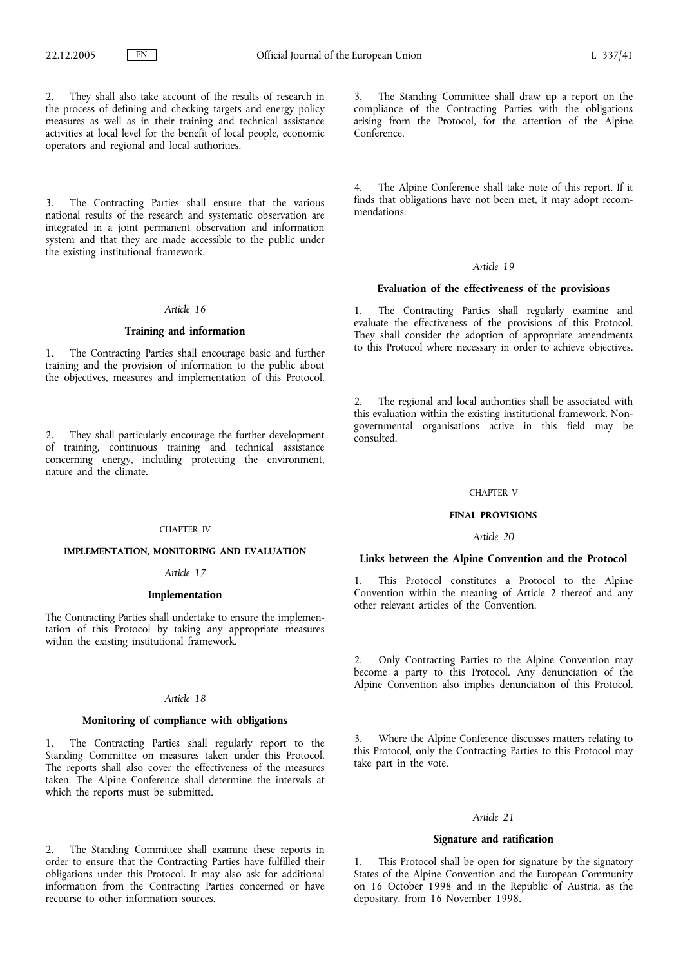2. They shall also take account of the results of research in the process of defining and checking targets and energy policy measures as well as in their training and technical assistance activities at local level for the benefit of local people, economic operators and regional and local authorities.

3. The Contracting Parties shall ensure that the various national results of the research and systematic observation are integrated in a joint permanent observation and information system and that they are made accessible to the public under the existing institutional framework.

#### *Article 16*

### **Training and information**

1. The Contracting Parties shall encourage basic and further training and the provision of information to the public about the objectives, measures and implementation of this Protocol.

They shall particularly encourage the further development of training, continuous training and technical assistance concerning energy, including protecting the environment, nature and the climate.

#### CHAPTER IV

### **IMPLEMENTATION, MONITORING AND EVALUATION**

#### *Article 17*

### **Implementation**

The Contracting Parties shall undertake to ensure the implementation of this Protocol by taking any appropriate measures within the existing institutional framework.

#### *Article 18*

### **Monitoring of compliance with obligations**

1. The Contracting Parties shall regularly report to the Standing Committee on measures taken under this Protocol. The reports shall also cover the effectiveness of the measures taken. The Alpine Conference shall determine the intervals at which the reports must be submitted.

2. The Standing Committee shall examine these reports in order to ensure that the Contracting Parties have fulfilled their obligations under this Protocol. It may also ask for additional information from the Contracting Parties concerned or have recourse to other information sources.

3. The Standing Committee shall draw up a report on the compliance of the Contracting Parties with the obligations arising from the Protocol, for the attention of the Alpine Conference.

4. The Alpine Conference shall take note of this report. If it finds that obligations have not been met, it may adopt recommendations.

### *Article 19*

### **Evaluation of the effectiveness of the provisions**

1. The Contracting Parties shall regularly examine and evaluate the effectiveness of the provisions of this Protocol. They shall consider the adoption of appropriate amendments to this Protocol where necessary in order to achieve objectives.

2. The regional and local authorities shall be associated with this evaluation within the existing institutional framework. Nongovernmental organisations active in this field may be consulted.

#### CHAPTER V

### **FINAL PROVISIONS**

### *Article 20*

### **Links between the Alpine Convention and the Protocol**

1. This Protocol constitutes a Protocol to the Alpine Convention within the meaning of Article 2 thereof and any other relevant articles of the Convention.

2. Only Contracting Parties to the Alpine Convention may become a party to this Protocol. Any denunciation of the Alpine Convention also implies denunciation of this Protocol.

3. Where the Alpine Conference discusses matters relating to this Protocol, only the Contracting Parties to this Protocol may take part in the vote.

#### *Article 21*

### **Signature and ratification**

1. This Protocol shall be open for signature by the signatory States of the Alpine Convention and the European Community on 16 October 1998 and in the Republic of Austria, as the depositary, from 16 November 1998.